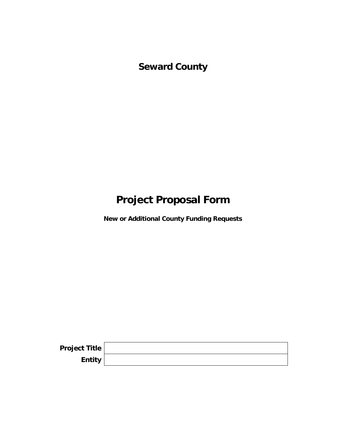**Seward County** 

# **Project Proposal Form**

**New or Additional County Funding Requests** 

| Project Title |  |
|---------------|--|
| Entity        |  |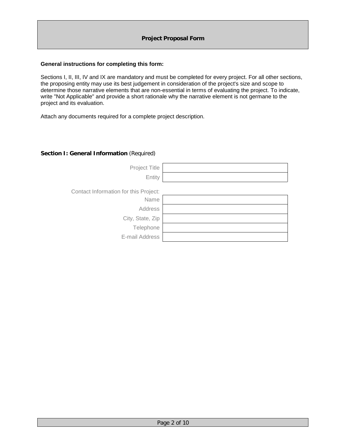#### **General instructions for completing this form:**

Sections I, II, III, IV and IX are mandatory and must be completed for every project. For all other sections, the proposing entity may use its best judgement in consideration of the project's size and scope to determine those narrative elements that are non-essential in terms of evaluating the project. To indicate, write "Not Applicable" and provide a short rationale why the narrative element is not germane to the project and its evaluation.

Attach any documents required for a complete project description.

#### **Section I: General Information** (Required)

| Project Title                         |  |
|---------------------------------------|--|
| Entity                                |  |
|                                       |  |
| Contact Information for this Project: |  |
| Name                                  |  |
| Address                               |  |
| City, State, Zip                      |  |
| Telephone                             |  |
| E-mail Address                        |  |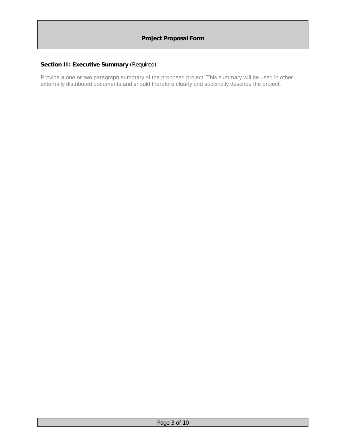# **Section II: Executive Summary** (Required)

Provide a one or two paragraph summary of the proposed project. This summary will be used in other externally distributed documents and should therefore clearly and succinctly describe the project.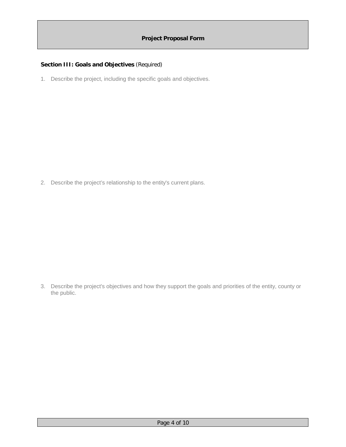# **Section III: Goals and Objectives** (Required)

1. Describe the project, including the specific goals and objectives.

2. Describe the project's relationship to the entity's current plans.

3. Describe the project's objectives and how they support the goals and priorities of the entity, county or the public.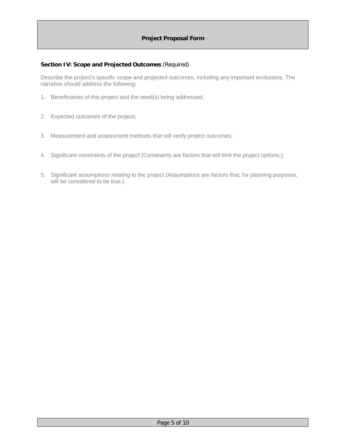#### **Section IV: Scope and Projected Outcomes** (Required)

Describe the project's specific scope and projected outcomes, including any important exclusions. The narrative should address the following:

- 1. Beneficiaries of this project and the need(s) being addressed;
- 2. Expected outcomes of the project;
- 3. Measurement and assessment methods that will verify project outcomes;
- 4. Significant constraints of the project (Constraints are factors that will limit the project options.);
- 5. Significant assumptions relating to the project (Assumptions are factors that, for planning purposes, will be considered to be true.).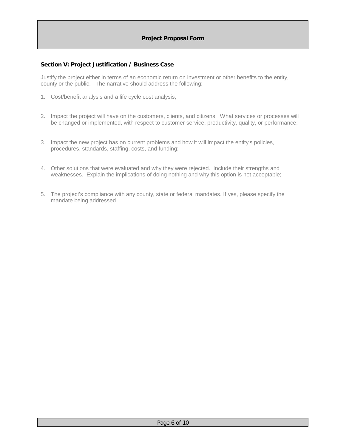#### **Section V: Project Justification / Business Case**

Justify the project either in terms of an economic return on investment or other benefits to the entity, county or the public. The narrative should address the following:

- 1. Cost/benefit analysis and a life cycle cost analysis;
- 2. Impact the project will have on the customers, clients, and citizens. What services or processes will be changed or implemented, with respect to customer service, productivity, quality, or performance;
- 3. Impact the new project has on current problems and how it will impact the entity's policies, procedures, standards, staffing, costs, and funding;
- 4. Other solutions that were evaluated and why they were rejected. Include their strengths and weaknesses. Explain the implications of doing nothing and why this option is not acceptable;
- 5. The project's compliance with any county, state or federal mandates. If yes, please specify the mandate being addressed.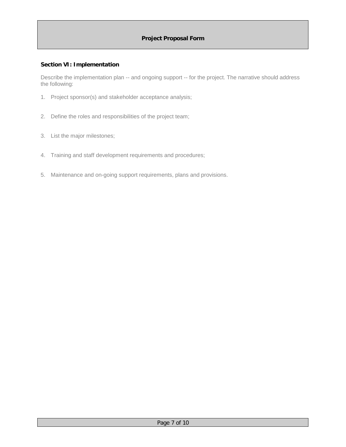#### **Section VI: Implementation**

Describe the implementation plan -- and ongoing support -- for the project. The narrative should address the following:

- 1. Project sponsor(s) and stakeholder acceptance analysis;
- 2. Define the roles and responsibilities of the project team;
- 3. List the major milestones;
- 4. Training and staff development requirements and procedures;
- 5. Maintenance and on-going support requirements, plans and provisions.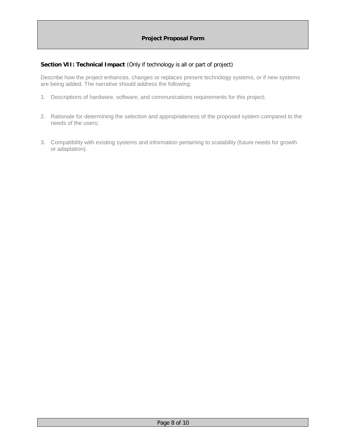#### **Section VII: Technical Impact** (Only if technology is all or part of project)

Describe how the project enhances, changes or replaces present technology systems, or if new systems are being added. The narrative should address the following:

- 1. Descriptions of hardware, software, and communications requirements for this project;
- 2. Rationale for determining the selection and appropriateness of the proposed system compared to the needs of the users;
- 3. Compatibility with existing systems and information pertaining to scalability (future needs for growth or adaptation).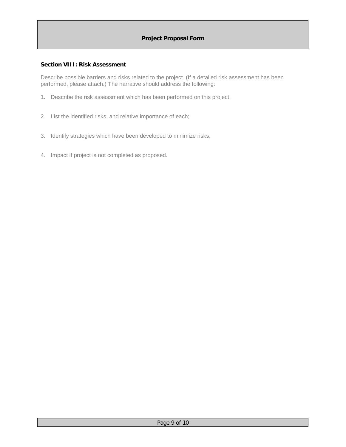#### **Section VIII: Risk Assessment**

Describe possible barriers and risks related to the project. (If a detailed risk assessment has been performed, please attach.) The narrative should address the following:

- 1. Describe the risk assessment which has been performed on this project;
- 2. List the identified risks, and relative importance of each;
- 3. Identify strategies which have been developed to minimize risks;
- 4. Impact if project is not completed as proposed.